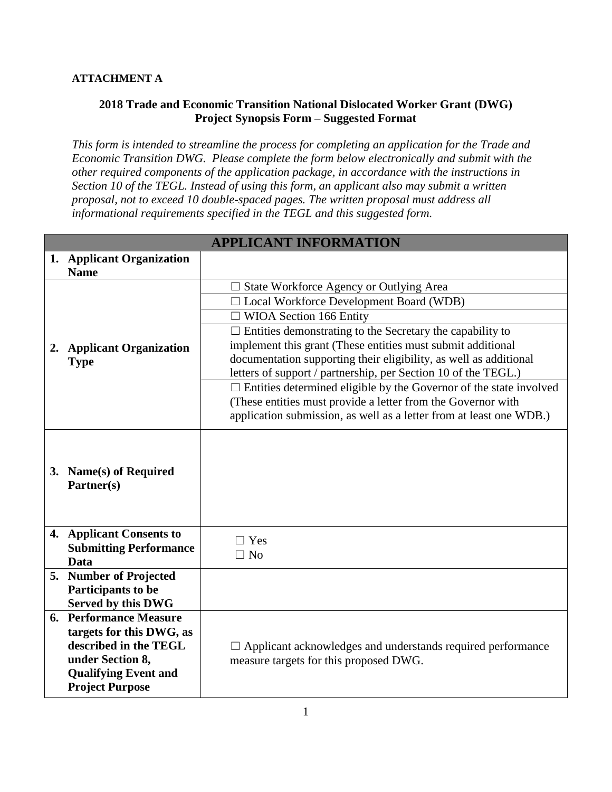## **ATTACHMENT A**

## **2018 Trade and Economic Transition National Dislocated Worker Grant (DWG) Project Synopsis Form – Suggested Format**

*This form is intended to streamline the process for completing an application for the Trade and Economic Transition DWG. Please complete the form below electronically and submit with the other required components of the application package, in accordance with the instructions in Section 10 of the TEGL. Instead of using this form, an applicant also may submit a written proposal, not to exceed 10 double-spaced pages. The written proposal must address all informational requirements specified in the TEGL and this suggested form.* 

|                                                            | <b>APPLICANT INFORMATION</b>                                                                                                        |
|------------------------------------------------------------|-------------------------------------------------------------------------------------------------------------------------------------|
| 1. Applicant Organization<br><b>Name</b>                   |                                                                                                                                     |
|                                                            | $\Box$ State Workforce Agency or Outlying Area                                                                                      |
|                                                            | □ Local Workforce Development Board (WDB)                                                                                           |
|                                                            | $\Box$ WIOA Section 166 Entity                                                                                                      |
|                                                            | $\Box$ Entities demonstrating to the Secretary the capability to                                                                    |
| 2. Applicant Organization                                  | implement this grant (These entities must submit additional                                                                         |
| <b>Type</b>                                                | documentation supporting their eligibility, as well as additional<br>letters of support / partnership, per Section 10 of the TEGL.) |
|                                                            | $\Box$ Entities determined eligible by the Governor of the state involved                                                           |
|                                                            | (These entities must provide a letter from the Governor with                                                                        |
|                                                            | application submission, as well as a letter from at least one WDB.)                                                                 |
|                                                            |                                                                                                                                     |
| 3. Name(s) of Required<br>Partner(s)                       |                                                                                                                                     |
| 4. Applicant Consents to                                   | $\Box$ Yes                                                                                                                          |
| <b>Submitting Performance</b>                              | $\Box$ No                                                                                                                           |
| <b>Data</b>                                                |                                                                                                                                     |
| 5. Number of Projected                                     |                                                                                                                                     |
| Participants to be                                         |                                                                                                                                     |
| <b>Served by this DWG</b><br><b>6. Performance Measure</b> |                                                                                                                                     |
| targets for this DWG, as                                   |                                                                                                                                     |
| described in the TEGL                                      | $\Box$ Applicant acknowledges and understands required performance                                                                  |
| under Section 8,                                           | measure targets for this proposed DWG.                                                                                              |
| <b>Qualifying Event and</b>                                |                                                                                                                                     |
| <b>Project Purpose</b>                                     |                                                                                                                                     |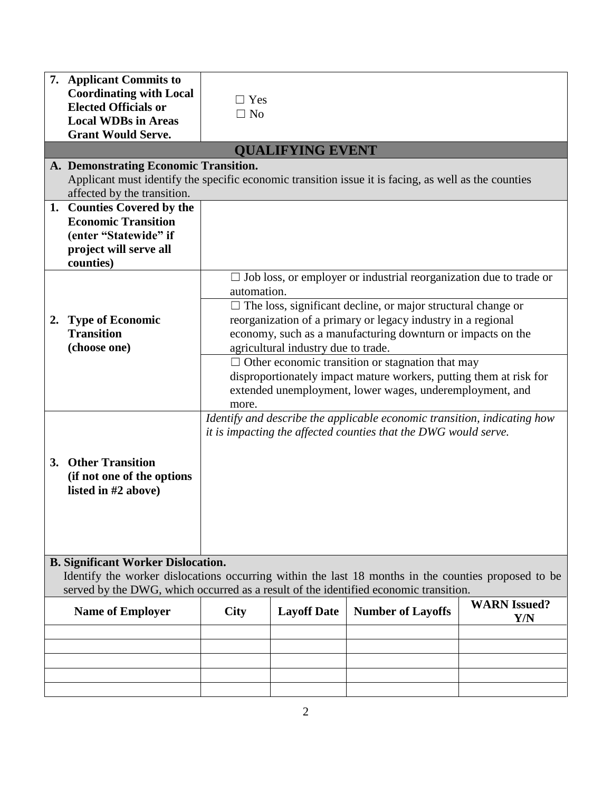|                                                                                                                                                                                                                                          | 7. Applicant Commits to<br><b>Coordinating with Local</b><br><b>Elected Officials or</b><br><b>Local WDBs in Areas</b><br><b>Grant Would Serve.</b>                          | $\Box$ Yes<br>$\Box$ No |                                     |                                                                                                                                                                                                                                                                                 |                            |
|------------------------------------------------------------------------------------------------------------------------------------------------------------------------------------------------------------------------------------------|------------------------------------------------------------------------------------------------------------------------------------------------------------------------------|-------------------------|-------------------------------------|---------------------------------------------------------------------------------------------------------------------------------------------------------------------------------------------------------------------------------------------------------------------------------|----------------------------|
|                                                                                                                                                                                                                                          |                                                                                                                                                                              |                         | <b>QUALIFYING EVENT</b>             |                                                                                                                                                                                                                                                                                 |                            |
|                                                                                                                                                                                                                                          | A. Demonstrating Economic Transition.<br>Applicant must identify the specific economic transition issue it is facing, as well as the counties<br>affected by the transition. |                         |                                     |                                                                                                                                                                                                                                                                                 |                            |
|                                                                                                                                                                                                                                          | 1. Counties Covered by the<br><b>Economic Transition</b><br>(enter "Statewide" if<br>project will serve all<br>counties)                                                     |                         |                                     |                                                                                                                                                                                                                                                                                 |                            |
| 2.                                                                                                                                                                                                                                       | <b>Type of Economic</b><br><b>Transition</b>                                                                                                                                 | automation.             |                                     | $\Box$ Job loss, or employer or industrial reorganization due to trade or<br>$\Box$ The loss, significant decline, or major structural change or<br>reorganization of a primary or legacy industry in a regional<br>economy, such as a manufacturing downturn or impacts on the |                            |
|                                                                                                                                                                                                                                          | (choose one)                                                                                                                                                                 | more.                   | agricultural industry due to trade. | $\Box$ Other economic transition or stagnation that may<br>disproportionately impact mature workers, putting them at risk for<br>extended unemployment, lower wages, underemployment, and                                                                                       |                            |
|                                                                                                                                                                                                                                          | 3. Other Transition<br>(if not one of the options<br>listed in #2 above)                                                                                                     |                         |                                     | Identify and describe the applicable economic transition, indicating how<br>it is impacting the affected counties that the DWG would serve.                                                                                                                                     |                            |
| <b>B. Significant Worker Dislocation.</b><br>Identify the worker dislocations occurring within the last 18 months in the counties proposed to be<br>served by the DWG, which occurred as a result of the identified economic transition. |                                                                                                                                                                              |                         |                                     |                                                                                                                                                                                                                                                                                 |                            |
|                                                                                                                                                                                                                                          | <b>Name of Employer</b>                                                                                                                                                      | <b>City</b>             | <b>Layoff Date</b>                  | <b>Number of Layoffs</b>                                                                                                                                                                                                                                                        | <b>WARN</b> Issued?<br>Y/N |
|                                                                                                                                                                                                                                          |                                                                                                                                                                              |                         |                                     |                                                                                                                                                                                                                                                                                 |                            |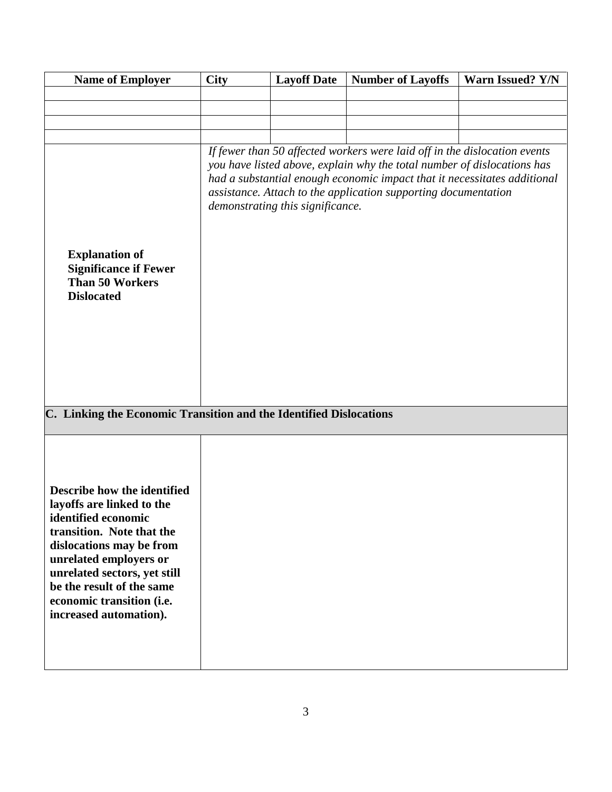| <b>Name of Employer</b>                                                                                                                                                                                                                                                                | <b>City</b> | <b>Layoff Date</b>               | <b>Number of Layoffs</b>                                                                                                                                                                                                                                                                           | Warn Issued? Y/N |
|----------------------------------------------------------------------------------------------------------------------------------------------------------------------------------------------------------------------------------------------------------------------------------------|-------------|----------------------------------|----------------------------------------------------------------------------------------------------------------------------------------------------------------------------------------------------------------------------------------------------------------------------------------------------|------------------|
|                                                                                                                                                                                                                                                                                        |             |                                  |                                                                                                                                                                                                                                                                                                    |                  |
|                                                                                                                                                                                                                                                                                        |             |                                  |                                                                                                                                                                                                                                                                                                    |                  |
|                                                                                                                                                                                                                                                                                        |             |                                  |                                                                                                                                                                                                                                                                                                    |                  |
| <b>Explanation of</b><br><b>Significance if Fewer</b><br><b>Than 50 Workers</b><br><b>Dislocated</b>                                                                                                                                                                                   |             | demonstrating this significance. | If fewer than 50 affected workers were laid off in the dislocation events<br>you have listed above, explain why the total number of dislocations has<br>had a substantial enough economic impact that it necessitates additional<br>assistance. Attach to the application supporting documentation |                  |
| C. Linking the Economic Transition and the Identified Dislocations                                                                                                                                                                                                                     |             |                                  |                                                                                                                                                                                                                                                                                                    |                  |
| Describe how the identified<br>layoffs are linked to the<br>identified economic<br>transition. Note that the<br>dislocations may be from<br>unrelated employers or<br>unrelated sectors, yet still<br>be the result of the same<br>economic transition (i.e.<br>increased automation). |             |                                  |                                                                                                                                                                                                                                                                                                    |                  |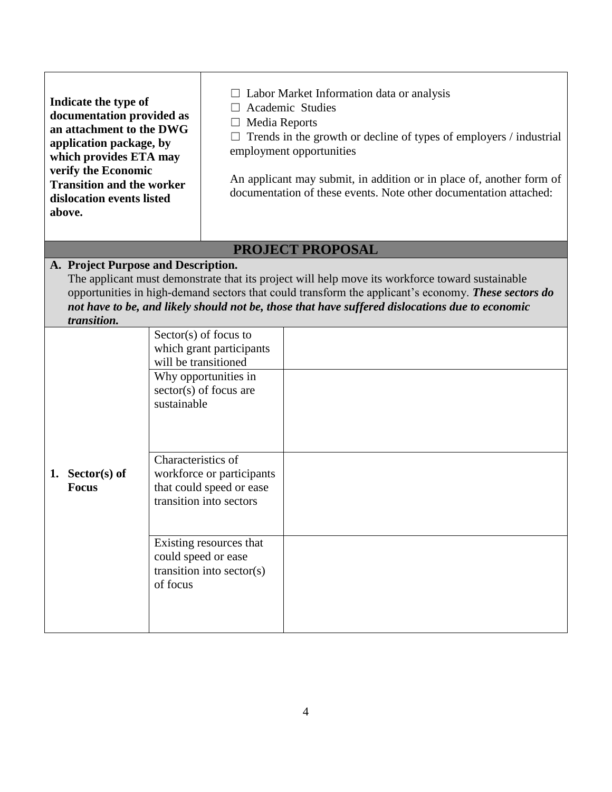| Indicate the type of<br>documentation provided as<br>an attachment to the DWG<br>application package, by<br>which provides ETA may<br>verify the Economic<br><b>Transition and the worker</b><br>dislocation events listed<br>above. | $\Box$ Labor Market Information data or analysis<br>Academic Studies<br>Media Reports<br>$\Box$<br>Trends in the growth or decline of types of employers / industrial<br>employment opportunities<br>An applicant may submit, in addition or in place of, another form of<br>documentation of these events. Note other documentation attached: |  |  |  |
|--------------------------------------------------------------------------------------------------------------------------------------------------------------------------------------------------------------------------------------|------------------------------------------------------------------------------------------------------------------------------------------------------------------------------------------------------------------------------------------------------------------------------------------------------------------------------------------------|--|--|--|
|                                                                                                                                                                                                                                      | <b>PROJECT PROPOSAL</b>                                                                                                                                                                                                                                                                                                                        |  |  |  |
| A. Project Purpose and Description.<br>transition.                                                                                                                                                                                   | The applicant must demonstrate that its project will help move its workforce toward sustainable<br>opportunities in high-demand sectors that could transform the applicant's economy. These sectors do<br>not have to be, and likely should not be, those that have suffered dislocations due to economic                                      |  |  |  |
| 1. Sector(s) of<br><b>Focus</b><br>of focus                                                                                                                                                                                          | $Sector(s)$ of focus to<br>which grant participants<br>will be transitioned<br>Why opportunities in<br>$sector(s)$ of focus are<br>sustainable<br>Characteristics of<br>workforce or participants<br>that could speed or ease<br>transition into sectors<br>Existing resources that<br>could speed or ease<br>transition into sector(s)        |  |  |  |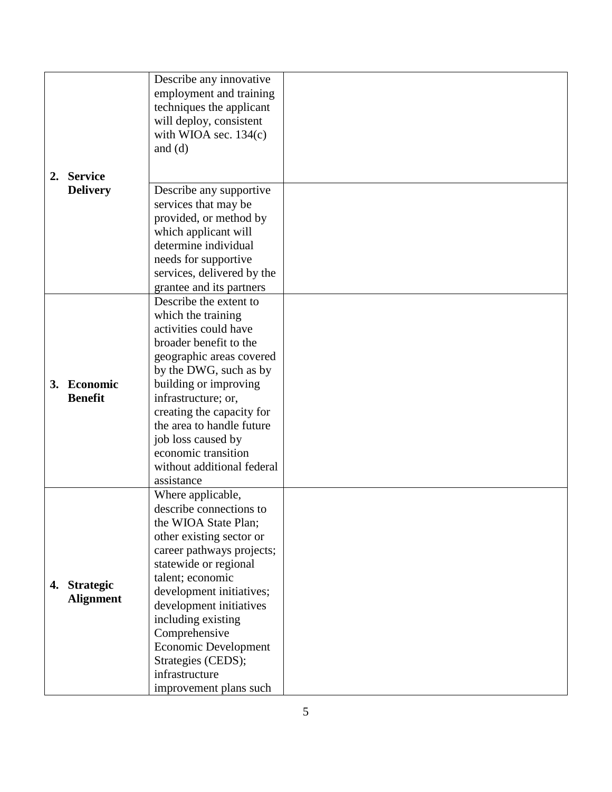|  |                                  | Describe any innovative     |  |
|--|----------------------------------|-----------------------------|--|
|  |                                  |                             |  |
|  |                                  | employment and training     |  |
|  |                                  | techniques the applicant    |  |
|  |                                  |                             |  |
|  |                                  | will deploy, consistent     |  |
|  |                                  | with WIOA sec. $134(c)$     |  |
|  |                                  | and $(d)$                   |  |
|  |                                  |                             |  |
|  | 2. Service<br><b>Delivery</b>    |                             |  |
|  |                                  |                             |  |
|  |                                  | Describe any supportive     |  |
|  |                                  |                             |  |
|  |                                  | services that may be        |  |
|  |                                  | provided, or method by      |  |
|  |                                  | which applicant will        |  |
|  |                                  |                             |  |
|  |                                  | determine individual        |  |
|  |                                  | needs for supportive        |  |
|  |                                  | services, delivered by the  |  |
|  |                                  |                             |  |
|  |                                  | grantee and its partners    |  |
|  |                                  | Describe the extent to      |  |
|  |                                  | which the training          |  |
|  |                                  |                             |  |
|  |                                  | activities could have       |  |
|  |                                  | broader benefit to the      |  |
|  |                                  | geographic areas covered    |  |
|  |                                  |                             |  |
|  | 3. Economic<br><b>Benefit</b>    | by the DWG, such as by      |  |
|  |                                  | building or improving       |  |
|  |                                  | infrastructure; or,         |  |
|  |                                  |                             |  |
|  |                                  | creating the capacity for   |  |
|  |                                  | the area to handle future   |  |
|  |                                  | job loss caused by          |  |
|  |                                  |                             |  |
|  |                                  | economic transition         |  |
|  |                                  | without additional federal  |  |
|  |                                  | assistance                  |  |
|  |                                  |                             |  |
|  | 4. Strategic<br><b>Alignment</b> | Where applicable,           |  |
|  |                                  | describe connections to     |  |
|  |                                  | the WIOA State Plan;        |  |
|  |                                  | other existing sector or    |  |
|  |                                  |                             |  |
|  |                                  | career pathways projects;   |  |
|  |                                  | statewide or regional       |  |
|  |                                  | talent; economic            |  |
|  |                                  |                             |  |
|  |                                  | development initiatives;    |  |
|  |                                  | development initiatives     |  |
|  |                                  | including existing          |  |
|  |                                  |                             |  |
|  |                                  | Comprehensive               |  |
|  |                                  | <b>Economic Development</b> |  |
|  |                                  | Strategies (CEDS);          |  |
|  |                                  |                             |  |
|  |                                  | infrastructure              |  |
|  |                                  | improvement plans such      |  |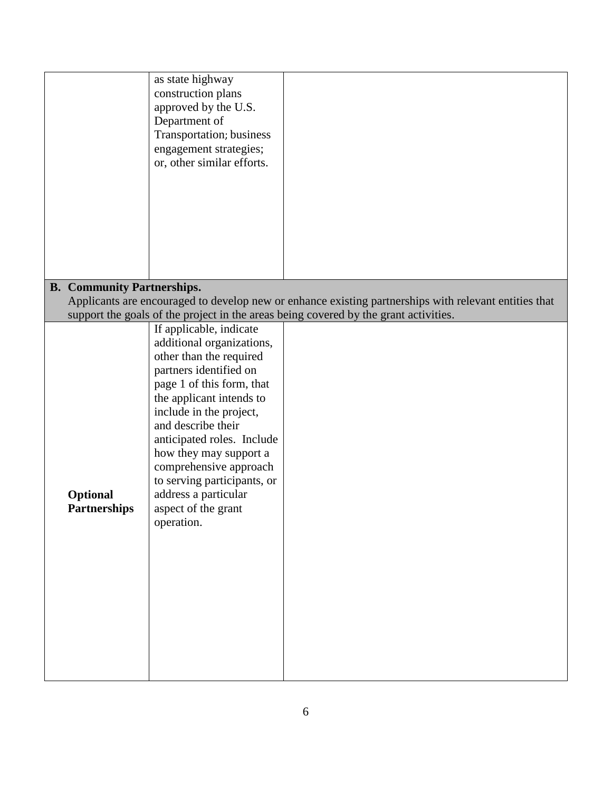|                                   | as state highway<br>construction plans<br>approved by the U.S.<br>Department of<br>Transportation; business<br>engagement strategies;<br>or, other similar efforts.                                                                                                                                                                                                                               |                                                                                                       |
|-----------------------------------|---------------------------------------------------------------------------------------------------------------------------------------------------------------------------------------------------------------------------------------------------------------------------------------------------------------------------------------------------------------------------------------------------|-------------------------------------------------------------------------------------------------------|
|                                   |                                                                                                                                                                                                                                                                                                                                                                                                   |                                                                                                       |
| <b>B.</b> Community Partnerships. |                                                                                                                                                                                                                                                                                                                                                                                                   |                                                                                                       |
|                                   |                                                                                                                                                                                                                                                                                                                                                                                                   | Applicants are encouraged to develop new or enhance existing partnerships with relevant entities that |
|                                   |                                                                                                                                                                                                                                                                                                                                                                                                   | support the goals of the project in the areas being covered by the grant activities.                  |
| Optional<br><b>Partnerships</b>   | If applicable, indicate<br>additional organizations,<br>other than the required<br>partners identified on<br>page 1 of this form, that<br>the applicant intends to<br>include in the project,<br>and describe their<br>anticipated roles. Include<br>how they may support a<br>comprehensive approach<br>to serving participants, or<br>address a particular<br>aspect of the grant<br>operation. |                                                                                                       |